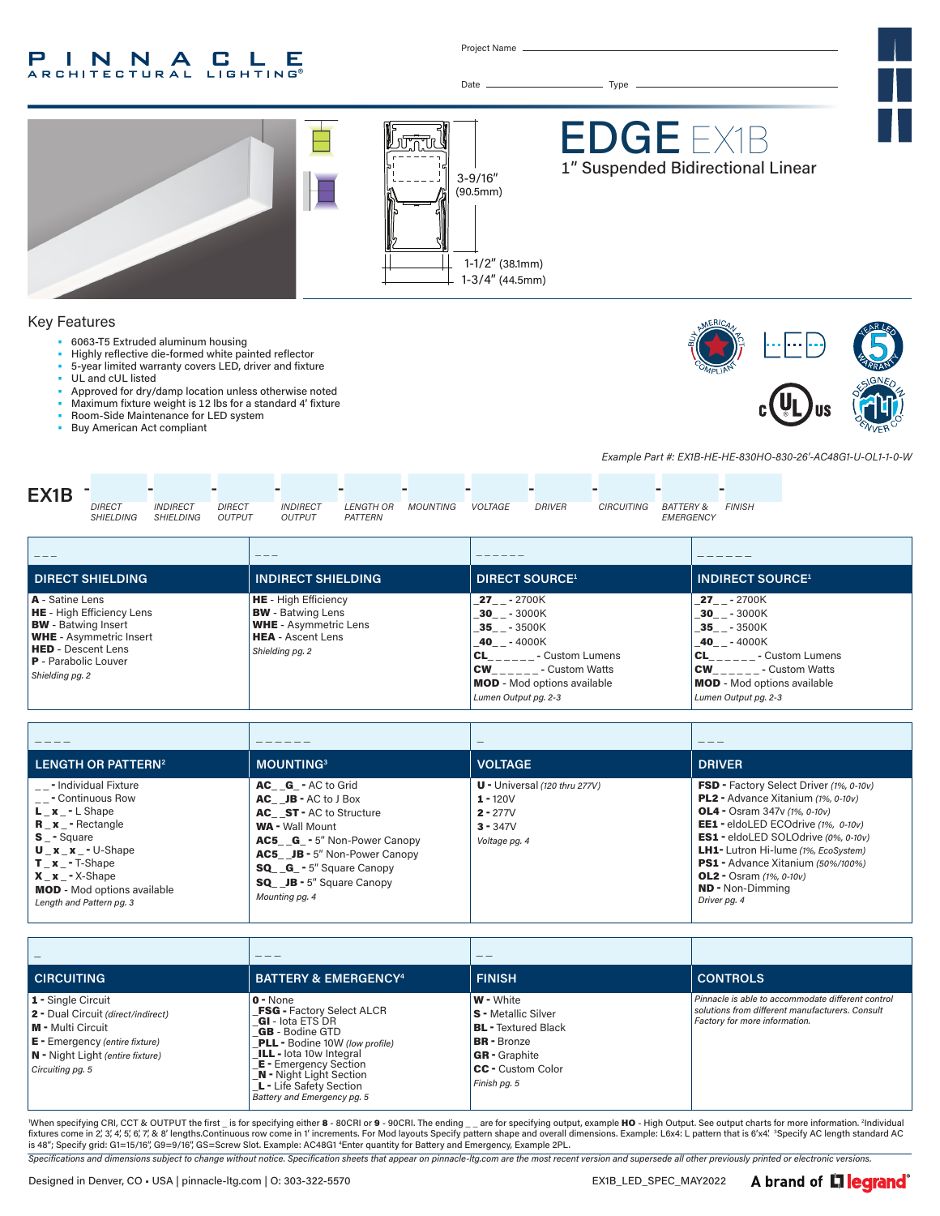#### INNA P. **CLE ARCHITECTURAL LIGHTING®**

Project Name

Date Type





## التوتر 3-9/16" (90.5mm) 1-1/2" (38.1mm) 1-3/4" (44.5mm)

# EDGE EX1B

1" Suspended Bidirectional Linear

#### Key Features

- 6063-T5 Extruded aluminum housing
- Highly reflective die-formed white painted reflector
- 5-year limited warranty covers LED, driver and fixture
- UL and cUL listed
- Approved for dry/damp location unless otherwise noted
- Maximum fixture weight is 12 lbs for a standard 4' fixture
- Room-Side Maintenance for LED system<br>• Buy American Act compliant
- Buy American Act compliant



*Example Part #: EX1B-HE-HE-830HO-830-26'-AC48G1-U-OL1-1-0-W*

| <b>INDIRECT</b><br><b>DIRECT</b><br><b>INDIRECT</b><br><b>MOUNTING</b><br><b>VOLTAGE</b><br><b>DIRECT</b><br>CIRCUITING<br><b>BATTERY &amp;</b><br><b>FINISH</b><br><b>LENGTH OR</b><br><b>DRIVER</b><br>EMERGENCY<br>SHIELDING<br>SHIELDING<br>PATTERN<br><b>OUTPUT</b><br><b>OUTPUT</b><br>$- - -$<br>$- - -$<br>______ | <b>DIRECT SHIELDING</b> |  |  | <b>INDIRECT SHIELDING</b> |  |  | <b>DIRECT SOURCE1</b> |  |  | <b>INDIRECT SOURCE<sup>1</sup></b> |  |
|---------------------------------------------------------------------------------------------------------------------------------------------------------------------------------------------------------------------------------------------------------------------------------------------------------------------------|-------------------------|--|--|---------------------------|--|--|-----------------------|--|--|------------------------------------|--|
|                                                                                                                                                                                                                                                                                                                           |                         |  |  |                           |  |  |                       |  |  |                                    |  |
| -                                                                                                                                                                                                                                                                                                                         | EX1B                    |  |  |                           |  |  |                       |  |  |                                    |  |

| A - Satine Lens<br><b>HE</b> - High Efficiency Lens<br><b>BW</b> - Batwing Insert<br><b>WHE</b> - Asymmetric Insert<br><b>HED</b> - Descent Lens<br><b>P</b> - Parabolic Louver<br>Shielding pg. 2 | <b>HE</b> - High Efficiency<br><b>BW</b> - Batwing Lens<br><b>WHE</b> - Asymmetric Lens<br><b>HEA</b> - Ascent Lens<br>Shielding pg. 2 | $27 - -2700K$<br>30 - 3000K<br>35 - 3500K<br>40 - 4000K<br><b>CL</b><br>- Custom Lumens<br><b>CW</b><br>- Custom Watts<br><b>MOD</b> - Mod options available<br>Lumen Output pg. 2-3 | <b>27</b> - 2700K<br>$-30$ $-$ - 3000K<br>35 - 3500K<br>40 - 4000K<br>- Custom Lumens<br>CL<br><b>CW</b><br>- Custom Watts<br><b>MOD</b> - Mod options available<br>Lumen Output pg. 2-3 |
|----------------------------------------------------------------------------------------------------------------------------------------------------------------------------------------------------|----------------------------------------------------------------------------------------------------------------------------------------|--------------------------------------------------------------------------------------------------------------------------------------------------------------------------------------|------------------------------------------------------------------------------------------------------------------------------------------------------------------------------------------|

| <b>LENGTH OR PATTERN<sup>2</sup></b>                                                                                                                                                                                                                                 | <b>MOUNTING3</b>                                                                                                                                                                                                                                                           | <b>VOLTAGE</b>                                                                             | <b>DRIVER</b>                                                                                                                                                                                                                                                                                                                                                                             |
|----------------------------------------------------------------------------------------------------------------------------------------------------------------------------------------------------------------------------------------------------------------------|----------------------------------------------------------------------------------------------------------------------------------------------------------------------------------------------------------------------------------------------------------------------------|--------------------------------------------------------------------------------------------|-------------------------------------------------------------------------------------------------------------------------------------------------------------------------------------------------------------------------------------------------------------------------------------------------------------------------------------------------------------------------------------------|
| $\frac{1}{2}$ - Individual Fixture<br>_ _ - Continuous Row<br>$L \times -L$ Shape<br><b>R</b> $x$ - Rectangle<br>S - Square<br>$U \times X - U$ -Shape<br>$T_{X}$ - T-Shape<br>$X \times -X-Shape$<br><b>MOD</b> - Mod options available<br>Length and Pattern pg. 3 | AC G - AC to Grid<br>$AC$ JB - AC to J Box<br><b>AC</b> ST - AC to Structure<br><b>WA</b> - Wall Mount<br><b>AC5 G</b> - 5" Non-Power Canopy<br><b>AC5 JB</b> - 5" Non-Power Canopy<br><b>SQ G</b> - 5" Square Canopy<br><b>SQ</b> JB - 5" Square Canopy<br>Mounting pg. 4 | $U$ - Universal (120 thru 277V)<br>$1 - 120V$<br>$2 - 277V$<br>$3 - 347V$<br>Voltage pg. 4 | FSD - Factory Select Driver (1%, 0-10v)<br>PL2 - Advance Xitanium (1%, 0-10v)<br><b>OL4</b> - Osram 347y (1%, 0-10y)<br>EE1 - eldoLED ECOdrive (1%, 0-10v)<br><b>ES1</b> - eldoLED SOLOdrive (0%, 0-10v)<br><b>LH1-</b> Lutron Hi-lume (1%, EcoSystem)<br><b>PS1</b> - Advance Xitanium (50%/100%)<br><b>OL2</b> - Osram $(1\%$ , 0-10 $\nu$ )<br><b>ND</b> - Non-Dimming<br>Driver pg. 4 |

|                                                                                                                                                                                       | ---                                                                                                                                                                                                                                                                                                        | - -                                                                                                                                                             |                                                                                                                                       |
|---------------------------------------------------------------------------------------------------------------------------------------------------------------------------------------|------------------------------------------------------------------------------------------------------------------------------------------------------------------------------------------------------------------------------------------------------------------------------------------------------------|-----------------------------------------------------------------------------------------------------------------------------------------------------------------|---------------------------------------------------------------------------------------------------------------------------------------|
| <b>CIRCUITING</b>                                                                                                                                                                     | <b>BATTERY &amp; EMERGENCY<sup>4</sup></b>                                                                                                                                                                                                                                                                 | <b>FINISH</b>                                                                                                                                                   | <b>CONTROLS</b>                                                                                                                       |
| 1 - Single Circuit<br>2 - Dual Circuit (direct/indirect)<br><b>M</b> - Multi Circuit<br><b>E</b> - Emergency (entire fixture)<br>N - Night Light (entire fixture)<br>Circuiting pg. 5 | $0 - None$<br><b>FSG</b> - Factory Select ALCR<br><b>GI</b> - lota ETS DR<br><b>GB</b> - Bodine GTD<br><b>PLL</b> - Bodine 10W (low profile)<br><b>ILL</b> - lota 10w Integral<br><b>E</b> - Emergency Section<br><b>N</b> - Night Light Section<br>L - Life Safety Section<br>Battery and Emergency pg. 5 | <b>W</b> - White<br><b>S</b> - Metallic Silver<br><b>BL</b> - Textured Black<br><b>BR</b> - Bronze<br><b>GR</b> - Graphite<br>CC - Custom Color<br>Finish pg. 5 | Pinnacle is able to accommodate different control<br>solutions from different manufacturers, Consult<br>Factory for more information. |

When specifying CRI, CCT & OUTPUT the first \_ is for specifying either 8 - 80CRI or 9 - 90CRI. The ending \_ \_ are for specifying output, example HO - High Output. See output charts for more information. <sup>2</sup>Individual fixtures come in 2, 3, 4, 5, 6, 7, & 8′ lengths.Continuous row come in 1′ increments. For Mod layouts Specify pattern shape and overall dimensions. Example: L6x4: L pattern that is 6′x4′. <sup>3</sup>Specify AC length standard AC<br>i

*Specifications and dimensions subject to change without notice. Specification sheets that appear on pinnacle-ltg.com are the most recent version and supersede all other previously printed or electronic versions.*

A brand of LI legrand®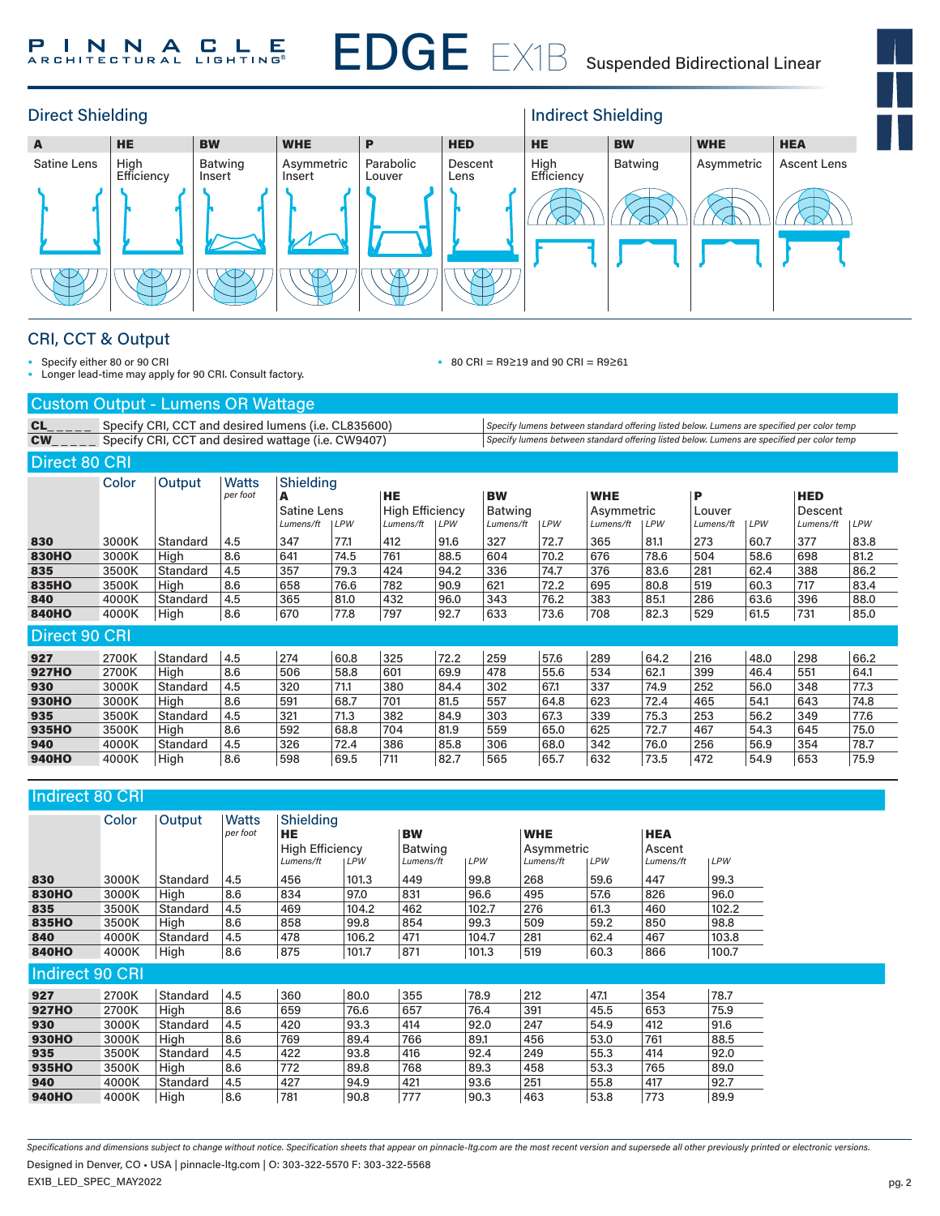

#### Direct Shielding **Indirect Shielding Indirect Shielding** A HE BW WHE P HED HE BW WHE HEA Satine Lens High<br>Efficiency Batwing Insert Asymmetric Insert Parabolic Louver Descent Lens High **Efficiency** Batwing | Asymmetric | Ascent Lens

### CRI, CCT & Output

• Specify either 80 or 90 CRI

• Longer lead-time may apply for 90 CRI. Consult factory.

• 80 CRI = R9≥19 and 90 CRI = R9≥61

#### Custom Output - Lumens OR Wattage

| CL | Specify CRI, CCT and desired lumens (i.e. CL835600)                          | Specify lumens between standard offering listed below. Lumens are specified per color temp |
|----|------------------------------------------------------------------------------|--------------------------------------------------------------------------------------------|
|    | <b>CW</b> <sub>____</sub> Specify CRI, CCT and desired wattage (i.e. CW9407) | Specify lumens between standard offering listed below. Lumens are specified per color temp |
|    |                                                                              |                                                                                            |

Direct 80 CRI

|               | Color | Output   | Watts    | Shielding   |            |                        |      |                |      |            |            |           |      |            |      |
|---------------|-------|----------|----------|-------------|------------|------------------------|------|----------------|------|------------|------------|-----------|------|------------|------|
|               |       |          | per foot | A           |            | HE                     |      | <b>BW</b>      |      | <b>WHE</b> |            | P         |      | <b>HED</b> |      |
|               |       |          |          | Satine Lens |            | <b>High Efficiency</b> |      | <b>Batwing</b> |      | Asymmetric |            | Louver    |      | Descent    |      |
|               |       |          |          | Lumens/ft   | <b>LPW</b> | Lumens/ft              | LPW  | Lumens/ft      | LPW  | Lumens/ft  | <b>LPW</b> | Lumens/ft | LPW  | Lumens/ft  | LPW  |
| 830           | 3000K | Standard | 4.5      | 347         | 77.1       | 412                    | 91.6 | 327            | 72.7 | 365        | 81.1       | 273       | 60.7 | 377        | 83.8 |
| <b>830HO</b>  | 3000K | High     | 8.6      | 641         | 74.5       | 761                    | 88.5 | 604            | 70.2 | 676        | 78.6       | 504       | 58.6 | 698        | 81.2 |
| 835           | 3500K | Standard | 4.5      | 357         | 79.3       | 424                    | 94.2 | 336            | 74.7 | 376        | 83.6       | 281       | 62.4 | 388        | 86.2 |
| <b>835HO</b>  | 3500K | High     | 8.6      | 658         | 76.6       | 782                    | 90.9 | 621            | 72.2 | 695        | 80.8       | 519       | 60.3 | 717        | 83.4 |
| 840           | 4000K | Standard | 4.5      | 365         | 81.0       | 432                    | 96.0 | 343            | 76.2 | 383        | 85.1       | 286       | 63.6 | 396        | 88.0 |
| <b>840HO</b>  | 4000K | High     | 8.6      | 670         | 77.8       | 797                    | 92.7 | 633            | 73.6 | 708        | 82.3       | 529       | 61.5 | 731        | 85.0 |
| Direct 90 CRI |       |          |          |             |            |                        |      |                |      |            |            |           |      |            |      |
| 927           | 2700K | Standard | 4.5      | 274         | 60.8       | 325                    | 72.2 | 259            | 57.6 | 289        | 64.2       | 216       | 48.0 | 298        | 66.2 |
| <b>927HO</b>  | 2700K | High     | 8.6      | 506         | 58.8       | 601                    | 69.9 | 478            | 55.6 | 534        | 62.1       | 399       | 46.4 | 551        | 64.1 |
| 930           | 3000K | Standard | 4.5      | 320         | 71.1       | 380                    | 84.4 | 302            | 67.1 | 337        | 74.9       | 252       | 56.0 | 348        | 77.3 |
| <b>930HO</b>  | 3000K | High     | 8.6      | 591         | 68.7       | 701                    | 81.5 | 557            | 64.8 | 623        | 72.4       | 465       | 54.1 | 643        | 74.8 |
| 935           | 3500K | Standard | 4.5      | 321         | 71.3       | 382                    | 84.9 | 303            | 67.3 | 339        | 75.3       | 253       | 56.2 | 349        | 77.6 |
| 935HO         | 3500K | High     | 8.6      | 592         | 68.8       | 704                    | 81.9 | 559            | 65.0 | 625        | 72.7       | 467       | 54.3 | 645        | 75.0 |
| 940           | 4000K | Standard | 4.5      | 326         | 72.4       | 386                    | 85.8 | 306            | 68.0 | 342        | 76.0       | 256       | 56.9 | 354        | 78.7 |
| <b>940HO</b>  | 4000K | High     | 8.6      | 598         | 69.5       | 711                    | 82.7 | 565            | 65.7 | 632        | 73.5       | 472       | 54.9 | 653        | 75.9 |

#### Indirect 80 CRI

|              | Color | Output      | <b>Watts</b><br>per foot | <b>Shielding</b><br><b>HE</b><br><b>High Efficiency</b> |            | <b>BW</b><br><b>Batwing</b> |       | <b>WHE</b><br>Asymmetric |      | <b>HEA</b><br>Ascent |            |
|--------------|-------|-------------|--------------------------|---------------------------------------------------------|------------|-----------------------------|-------|--------------------------|------|----------------------|------------|
|              |       |             |                          | Lumens/ft                                               | <b>LPW</b> | Lumens/ft                   | LPW   | Lumens/ft                | LPW  | Lumens/ft            | <b>LPW</b> |
| 830          | 3000K | Standard    | 4.5                      | 456                                                     | 101.3      | 449                         | 99.8  | 268                      | 59.6 | 447                  | 99.3       |
| <b>830HO</b> | 3000K | <b>High</b> | 8.6                      | 834                                                     | 97.0       | 831                         | 96.6  | 495                      | 57.6 | 826                  | 96.0       |
| 835          | 3500K | Standard    | 4.5                      | 469                                                     | 104.2      | 462                         | 102.7 | 276                      | 61.3 | 460                  | 102.2      |
| 835HO        | 3500K | High        | 8.6                      | 858                                                     | 99.8       | 854                         | 99.3  | 509                      | 59.2 | 850                  | 98.8       |
| 840          | 4000K | Standard    | 4.5                      | 478                                                     | 106.2      | 471                         | 104.7 | 281                      | 62.4 | 467                  | 103.8      |
| <b>840HO</b> | 4000K | Hiah        | 8.6                      | 875                                                     | 101.7      | 871                         | 101.3 | 519                      | 60.3 | 866                  | 100.7      |

#### Indirect 90 CRI

| 2700K | Standard | 4.5 | 360 | 80.0 | 355 | 78.9 | 212 | 47.1 | 354 | 78.7 |
|-------|----------|-----|-----|------|-----|------|-----|------|-----|------|
| 2700K | Hiah     | 8.6 | 659 | 76.6 | 657 | 76.4 | 391 | 45.5 | 653 | 75.9 |
| 3000K | Standard | 4.5 | 420 | 93.3 | 414 | 92.0 | 247 | 54.9 | 412 | 91.6 |
| 3000K | High     | 8.6 | 769 | 89.4 | 766 | 89.1 | 456 | 53,0 | 761 | 88.5 |
| 3500K | Standard | 4.5 | 422 | 93.8 | 416 | 92.4 | 249 | 55.3 | 414 | 92.0 |
| 3500K | Hiah     | 8.6 | 772 | 89.8 | 768 | 89.3 | 458 | 53.3 | 765 | 89.0 |
| 4000K | Standard | 4.5 | 427 | 94.9 | 421 | 93.6 | 251 | 55.8 | 417 | 92.7 |
| 4000K | High     | 8.6 | 781 | 90.8 | 777 | 90.3 | 463 | 53.8 | 773 | 89.9 |
|       |          |     |     |      |     |      |     |      |     |      |

*Specifications and dimensions subject to change without notice. Specification sheets that appear on pinnacle-ltg.com are the most recent version and supersede all other previously printed or electronic versions.* Designed in Denver, CO • USA | pinnacle-ltg.com | O: 303-322-5570 F: 303-322-5568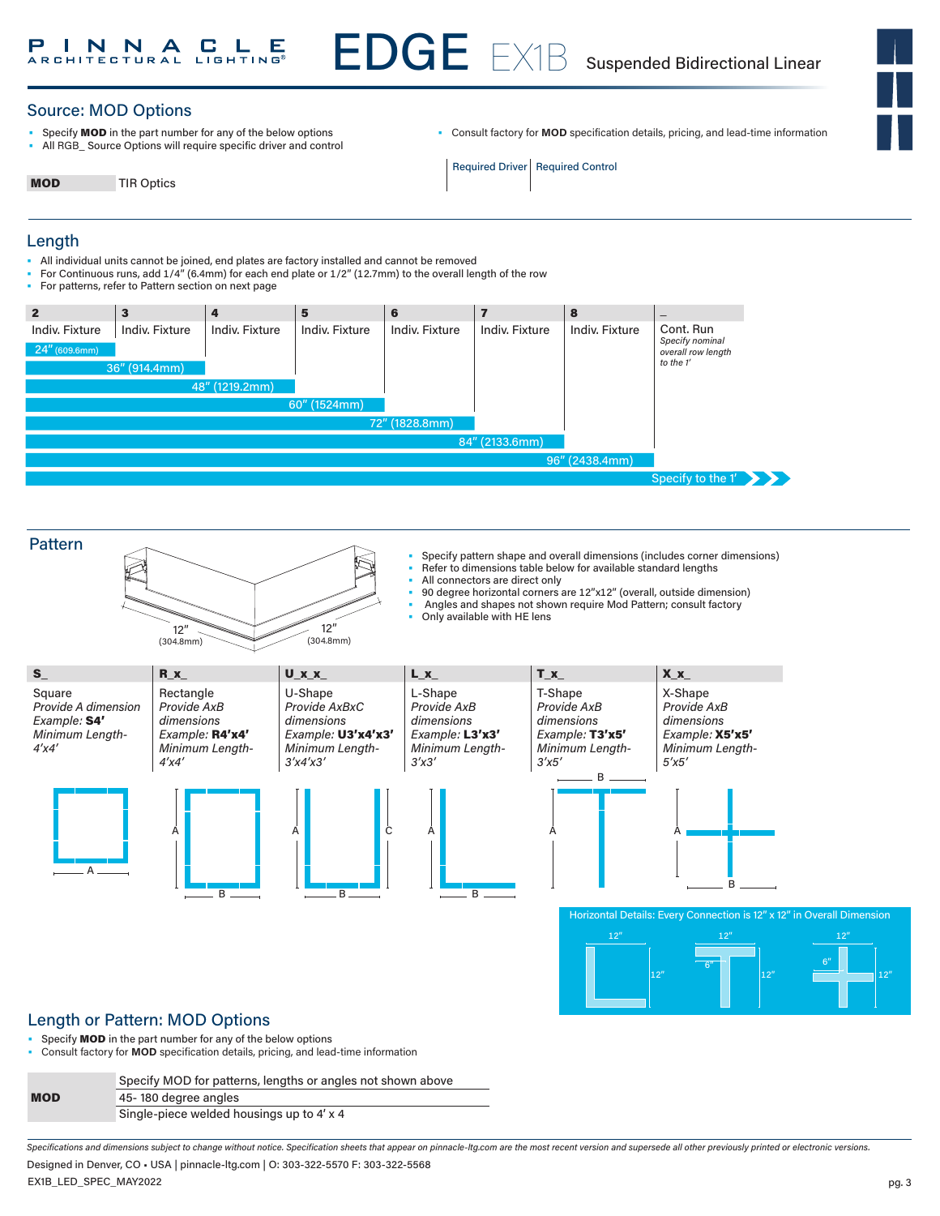

### Source: MOD Options

MOD TIR Optics

- Specify MOD in the part number for any of the below options
- All RGB\_ Source Options will require specific driver and control
- Consult factory for **MOD** specification details, pricing, and lead-time information

Required Driver Required Control

#### Length

P

- All individual units cannot be joined, end plates are factory installed and cannot be removed
- For Continuous runs, add  $1/4$ " (6.4mm) for each end plate or  $1/2$ " (12.7mm) to the overall length of the row
- For patterns, refer to Pattern section on next page

| $\overline{2}$                | $\overline{\mathbf{3}}$ | 4              | 5               | 6              | 7              | 8              | $\qquad \qquad -$                     |
|-------------------------------|-------------------------|----------------|-----------------|----------------|----------------|----------------|---------------------------------------|
| Indiv. Fixture                | Indiv. Fixture          | Indiv. Fixture | Indiv. Fixture  | Indiv. Fixture | Indiv. Fixture | Indiv. Fixture | Cont. Run                             |
| $24^{\prime\prime}$ (609.6mm) |                         |                |                 |                |                |                | Specify nominal<br>overall row length |
|                               | $36''$ (914.4mm)        |                |                 |                |                |                | to the 1'                             |
|                               |                         | 48" (1219.2mm) |                 |                |                |                |                                       |
|                               |                         |                | $60''$ (1524mm) |                |                |                |                                       |
|                               |                         |                |                 | 72" (1828.8mm) |                |                |                                       |
|                               |                         |                |                 |                | 84" (2133.6mm) |                |                                       |
|                               |                         |                |                 |                |                | 96" (2438.4mm) |                                       |
|                               |                         |                |                 |                |                |                | Specify to the 1'                     |

Pattern



• Specify pattern shape and overall dimensions (includes corner dimensions)<br>• Refer to dimensions table below for available standard lengths

12"

- Refer to dimensions table below for available standard lengths
- All connectors are direct only
- 90 degree horizontal corners are 12"x12" (overall, outside dimension)
- Angles and shapes not shown require Mod Pattern; consult factory
- Only available with HE lens



#### Length or Pattern: MOD Options

- Specify **MOD** in the part number for any of the below options
- Consult factory for **MOD** specification details, pricing, and lead-time information

|            | Specify MOD for patterns, lengths or angles not shown above |
|------------|-------------------------------------------------------------|
| <b>MOD</b> | 45-180 degree angles                                        |
|            | Single-piece welded housings up to 4' x 4                   |

*Specifications and dimensions subject to change without notice. Specification sheets that appear on pinnacle-ltg.com are the most recent version and supersede all other previously printed or electronic versions.*

EX1B\_LED\_SPEC\_MAY2022 Designed in Denver, CO • USA | pinnacle-ltg.com | O: 303-322-5570 F: 303-322-5568 12"

6"

12"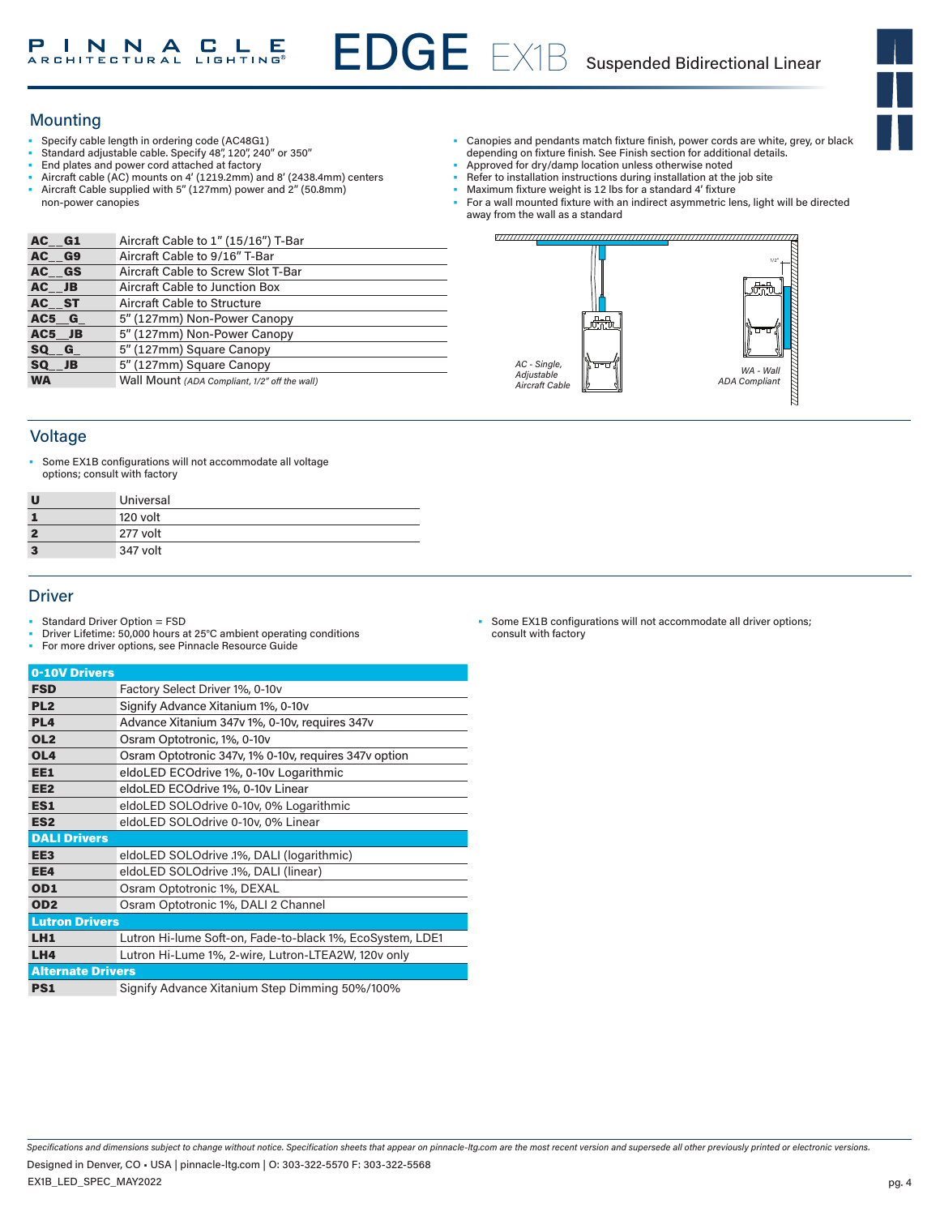## Mounting

- Specify cable length in ordering code (AC48G1)
- Standard adjustable cable. Specify 48", 120", 240" or 350"
- End plates and power cord attached at factory
- Aircraft cable (AC) mounts on 4' (1219.2mm) and 8' (2438.4mm) centers
- Aircraft Cable supplied with 5" (127mm) power and 2" (50.8mm) non-power canopies
- Canopies and pendants match fixture finish, power cords are white, grey, or black depending on fixture finish. See Finish section for additional details.
- Approved for dry/damp location unless otherwise noted
- Refer to installation instructions during installation at the job site
- Maximum fixture weight is 12 lbs for a standard 4' fixture
- For a wall mounted fixture with an indirect asymmetric lens, light will be directed away from the wall as a standard

| AC G1     | Aircraft Cable to 1" (15/16") T-Bar           |
|-----------|-----------------------------------------------|
| AC G9     | Aircraft Cable to 9/16" T-Bar                 |
| AC GS     | Aircraft Cable to Screw Slot T-Bar            |
| $AC$ $JB$ | Aircraft Cable to Junction Box                |
| AC_ST     | <b>Aircraft Cable to Structure</b>            |
| AC5 G     | 5" (127mm) Non-Power Canopy                   |
| AC5 JB    | 5" (127mm) Non-Power Canopy                   |
| SQ G      | 5" (127mm) Square Canopy                      |
| SQ JB     | 5" (127mm) Square Canopy                      |
| <b>WA</b> | Wall Mount (ADA Compliant, 1/2" off the wall) |
|           |                                               |



#### Voltage

Some EX1B configurations will not accommodate all voltage options; consult with factory

| U                       | Universal |
|-------------------------|-----------|
|                         | 120 volt  |
| $\overline{\mathbf{z}}$ | 277 volt  |
| з                       | 347 volt  |
|                         |           |

#### **Driver**

- Standard Driver Option = FSD
- Driver Lifetime: 50,000 hours at 25°C ambient operating conditions

• For more driver options, see Pinnacle Resource Guide

| 0-10V Drivers            |                                                           |
|--------------------------|-----------------------------------------------------------|
| <b>FSD</b>               | Factory Select Driver 1%, 0-10v                           |
| PL <sub>2</sub>          | Signify Advance Xitanium 1%, 0-10v                        |
| PL <sub>4</sub>          | Advance Xitanium 347v 1%, 0-10v, requires 347v            |
| OL <sub>2</sub>          | Osram Optotronic, 1%, 0-10y                               |
| OL <sub>4</sub>          | Osram Optotronic 347v, 1% 0-10v, requires 347v option     |
| EE1                      | eldoLED ECOdrive 1%, 0-10v Logarithmic                    |
| EE <sub>2</sub>          | eldoLED ECOdrive 1%, 0-10v Linear                         |
| ES <sub>1</sub>          | eldoLED SOLOdrive 0-10v, 0% Logarithmic                   |
| ES <sub>2</sub>          | eldoLED SOLOdrive 0-10v, 0% Linear                        |
| <b>DALI Drivers</b>      |                                                           |
| EE <sub>3</sub>          | eldoLED SOLOdrive .1%, DALI (logarithmic)                 |
| EE4                      | eldoLED SOLOdrive .1%, DALI (linear)                      |
| OD <sub>1</sub>          | Osram Optotronic 1%, DEXAL                                |
| OD <sub>2</sub>          | Osram Optotronic 1%, DALI 2 Channel                       |
| <b>Lutron Drivers</b>    |                                                           |
| LH <sub>1</sub>          | Lutron Hi-lume Soft-on, Fade-to-black 1%, EcoSystem, LDE1 |
| LH4                      | Lutron Hi-Lume 1%, 2-wire, Lutron-LTEA2W, 120v only       |
| <b>Alternate Drivers</b> |                                                           |
| PS1                      | Signify Advance Xitanium Step Dimming 50%/100%            |

• Some EX1B configurations will not accommodate all driver options; consult with factory

*Specifications and dimensions subject to change without notice. Specification sheets that appear on pinnacle-ltg.com are the most recent version and supersede all other previously printed or electronic versions.*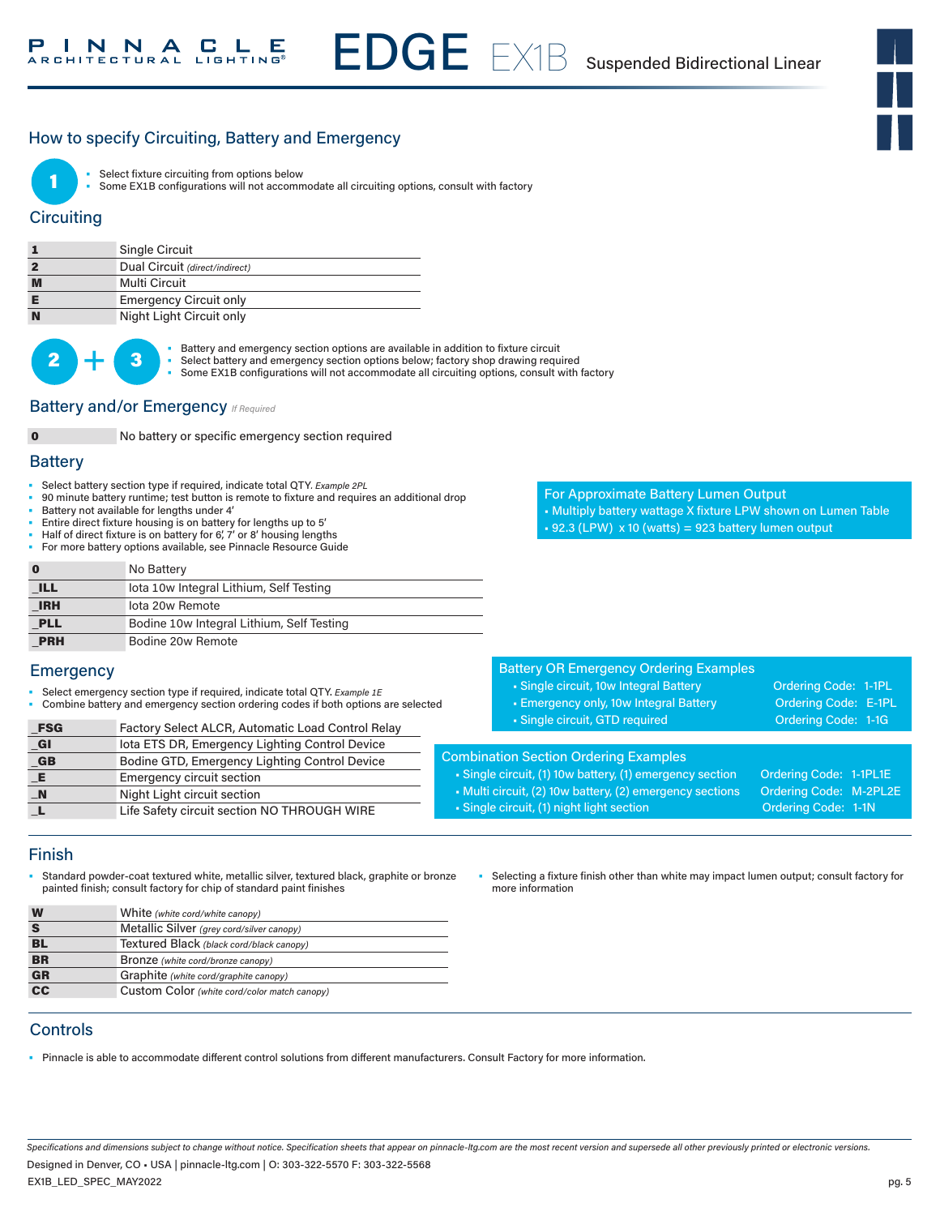#### How to specify Circuiting, Battery and Emergency



Select fixture circuiting from options below

Some EX1B configurations will not accommodate all circuiting options, consult with factory

#### **Circuiting**

|   | <b>Single Circuit</b>          |
|---|--------------------------------|
|   | Dual Circuit (direct/indirect) |
| M | Multi Circuit                  |
|   | <b>Emergency Circuit only</b>  |
| N | Night Light Circuit only       |
|   |                                |



Battery and emergency section options are available in addition to fixture circuit Select battery and emergency section options below; factory shop drawing required

Some EX1B configurations will not accommodate all circuiting options, consult with factory

#### **Battery and/or Emergency** *If Required*



0 No battery or specific emergency section required

#### **Battery**

- Select battery section type if required, indicate total QTY*. Example 2PL*
- 90 minute battery runtime; test button is remote to fixture and requires an additional drop
- Battery not available for lengths under 4'

**E** Emergency circuit section \_N Night Light circuit section

- Entire direct fixture housing is on battery for lengths up to 5'
- Half of direct fixture is on battery for 6', 7' or 8' housing lengths
- For more battery options available, see Pinnacle Resource Guide

• Select emergency section type if required, indicate total QTY. *Example 1E*

FSG Factory Select ALCR, Automatic Load Control Relay \_GI Iota ETS DR, Emergency Lighting Control Device GB Bodine GTD, Emergency Lighting Control Device

L Life Safety circuit section NO THROUGH WIRE

• Combine battery and emergency section ordering codes if both options are selected

| $\mathbf 0$ | No Battery                                |
|-------------|-------------------------------------------|
| <b>ILL</b>  | lota 10w Integral Lithium, Self Testing   |
| <b>IRH</b>  | lota 20w Remote                           |
| <b>PLL</b>  | Bodine 10w Integral Lithium, Self Testing |
| <b>PRH</b>  | Bodine 20w Remote                         |

- For Approximate Battery Lumen Output
- Multiply battery wattage X fixture LPW shown on Lumen Table
- $\text{-}$  92.3 (LPW) x 10 (watts) = 923 battery lumen output
- Battery OR Emergency Ordering Examples
	- Single circuit, 10w Integral Battery **Canadian Code: 1-1PL**
	- Emergency only, 10w Integral Battery **Condering Code: E-1PL**
	- Single circuit, GTD required Contact Condering Code: 1-1G

#### Combination Section Ordering Examples

- Single circuit, (1) 10w battery, (1) emergency section Ordering Code: 1-1PL1E
- Multi circuit, (2) 10w battery, (2) emergency sections Ordering Code: M-2PL2E
- Single circuit, (1) night light section Contact Code: 1-1N

#### Finish

**Emergency** 

• Standard powder-coat textured white, metallic silver, textured black, graphite or bronze painted finish; consult factory for chip of standard paint finishes

| W               | White (white cord/white canopy)              |
|-----------------|----------------------------------------------|
| S               | Metallic Silver (grey cord/silver canopy)    |
| <b>BL</b>       | Textured Black (black cord/black canopy)     |
| <b>BR</b>       | Bronze (white cord/bronze canopy)            |
| <b>GR</b>       | Graphite (white cord/graphite canopy)        |
| $\overline{cc}$ | Custom Color (white cord/color match canopy) |
|                 |                                              |

• Selecting a fixture finish other than white may impact lumen output; consult factory for more information

#### **Controls**

• Pinnacle is able to accommodate different control solutions from different manufacturers. Consult Factory for more information.

*Specifications and dimensions subject to change without notice. Specification sheets that appear on pinnacle-ltg.com are the most recent version and supersede all other previously printed or electronic versions.*

EX1B\_LED\_SPEC\_MAY2022 Designed in Denver, CO • USA | pinnacle-ltg.com | O: 303-322-5570 F: 303-322-5568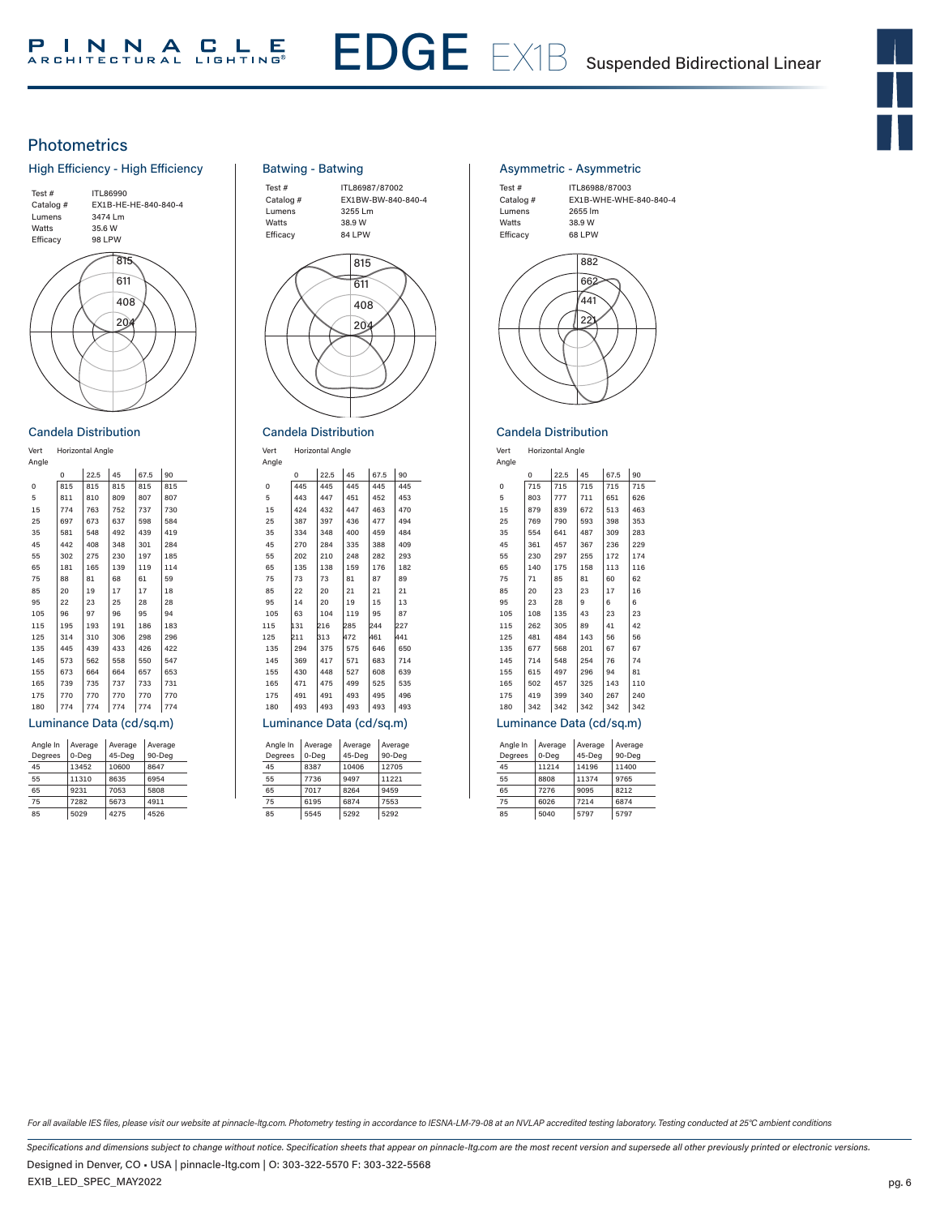

#### **Photometrics**



#### Candela Distribution

Vert Horizontal Angle<br>Angle

| Angle    |          |      |     |      |     |
|----------|----------|------|-----|------|-----|
|          | $\Omega$ | 22.5 | 45  | 67.5 | 90  |
| $\Omega$ | 815      | 815  | 815 | 815  | 815 |
| 5        | 811      | 810  | 809 | 807  | 807 |
| 15       | 774      | 763  | 752 | 737  | 730 |
| 25       | 697      | 673  | 637 | 598  | 584 |
| 35       | 581      | 548  | 492 | 439  | 419 |
| 45       | 442      | 408  | 348 | 301  | 284 |
| 55       | 302      | 275  | 230 | 197  | 185 |
| 65       | 181      | 165  | 139 | 119  | 114 |
| 75       | 88       | 81   | 68  | 61   | 59  |
| 85       | 20       | 19   | 17  | 17   | 18  |
| 95       | 22       | 23   | 25  | 28   | 28  |
| 105      | 96       | 97   | 96  | 95   | 94  |
| 115      | 195      | 193  | 191 | 186  | 183 |
| 125      | 314      | 310  | 306 | 298  | 296 |
| 135      | 445      | 439  | 433 | 426  | 422 |
| 145      | 573      | 562  | 558 | 550  | 547 |
| 155      | 673      | 664  | 664 | 657  | 653 |
| 165      | 739      | 735  | 737 | 733  | 731 |
| 175      | 770      | 770  | 770 | 770  | 770 |
| 180      | 774      | 774  | 774 | 774  | 774 |

#### Luminance Data (cd/sq.m)

| Angle In | Average | Average | Average |
|----------|---------|---------|---------|
| Degrees  | 0-Deg   | 45-Deg  | 90-Deg  |
| 45       | 13452   | 10600   | 8647    |
| 55       | 11310   | 8635    | 6954    |
| 65       | 9231    | 7053    | 5808    |
| 75       | 7282    | 5673    | 4911    |
| 85       | 5029    | 4275    | 4526    |

#### 815 611 408 204 Test # ITL86987/87002<br>Catalog # EX1BW-BW-840-Catalog # EX1BW-BW-840-840-4<br>Lumens 3255 Lm Lumens 3255 Lm<br>Watts 38.9 W 38.9 W<br>84 LPW Efficacy

Batwing - Batwing

**Candela Distribution** 

Vert Horizontal Angle Vert

| Angle                   |     |      |     |      |     |
|-------------------------|-----|------|-----|------|-----|
|                         | 0   | 22.5 | 45  | 67.5 | 90  |
| 0                       | 445 | 445  | 445 | 445  | 445 |
| 5                       | 443 | 447  | 451 | 452  | 453 |
| 15                      | 424 | 432  | 447 | 463  | 470 |
| 25                      | 387 | 397  | 436 | 477  | 494 |
| 35                      | 334 | 348  | 400 | 459  | 484 |
| 45                      | 270 | 284  | 335 | 388  | 409 |
| 55                      | 202 | 210  | 248 | 282  | 293 |
| 65                      | 135 | 138  | 159 | 176  | 182 |
| 75                      | 73  | 73   | 81  | 87   | 89  |
| 85                      | 22  | 20   | 21  | 21   | 21  |
| 95                      | 14  | 20   | 19  | 15   | 13  |
| 105                     | 63  | 104  | 119 | 95   | 87  |
| 115                     | 131 | 216  | 285 | 244  | 227 |
| 125                     | 211 | 313  | 472 | 461  | 441 |
| 135                     | 294 | 375  | 575 | 646  | 650 |
| 145                     | 369 | 417  | 571 | 683  | 714 |
| 155                     | 430 | 448  | 527 | 608  | 639 |
| 165                     | 471 | 475  | 499 | 525  | 535 |
| 175                     | 491 | 491  | 493 | 495  | 496 |
| 180                     | 493 | 493  | 493 | 493  | 493 |
| uminance Data (cd/sq.m) |     |      |     |      |     |

#### minance Data (cd/sq.m)

| Angle In | Average | Average | Average |
|----------|---------|---------|---------|
| Degrees  | 0-Deg   | 45-Deg  | 90-Deg  |
| 45       | 8387    | 10406   | 12705   |
| 55       | 7736    | 9497    | 11221   |
| 65       | 7017    | 8264    | 9459    |
| 75       | 6195    | 6874    | 7553    |
| 85       | 5545    | 5292    | 5292    |

#### Asymmetric - Asymmetric

| ITL86988/87003         |
|------------------------|
| EX1B-WHE-WHE-840-840-4 |
| 2655 lm                |
| 38.9 W                 |
| 68 LPW                 |
|                        |



#### Candela Distribution

Vert Herizental Angle Vert Horizontal Angle<br>Angle Vert

| Angle    |          |      |     |      |     |
|----------|----------|------|-----|------|-----|
|          | $\Omega$ | 22.5 | 45  | 67.5 | 90  |
| $\Omega$ | 715      | 715  | 715 | 715  | 715 |
| 5        | 803      | 777  | 711 | 651  | 626 |
| 15       | 879      | 839  | 672 | 513  | 463 |
| 25       | 769      | 790  | 593 | 398  | 353 |
| 35       | 554      | 641  | 487 | 309  | 283 |
| 45       | 361      | 457  | 367 | 236  | 229 |
| 55       | 230      | 297  | 255 | 172  | 174 |
| 65       | 140      | 175  | 158 | 113  | 116 |
| 75       | 71       | 85   | 81  | 60   | 62  |
| 85       | 20       | 23   | 23  | 17   | 16  |
| 95       | 23       | 28   | 9   | 6    | 6   |
| 105      | 108      | 135  | 43  | 23   | 23  |
| 115      | 262      | 305  | 89  | 41   | 42  |
| 125      | 481      | 484  | 143 | 56   | 56  |
| 135      | 677      | 568  | 201 | 67   | 67  |
| 145      | 714      | 548  | 254 | 76   | 74  |
| 155      | 615      | 497  | 296 | 94   | 81  |
| 165      | 502      | 457  | 325 | 143  | 110 |
| 175      | 419      | 399  | 340 | 267  | 240 |
| 180      | 342      | 342  | 342 | 342  | 342 |

#### Luminance Data (cd/sq.m)

| Angle In | Average | Average | Average |
|----------|---------|---------|---------|
| Degrees  | 0-Deg   | 45-Deg  | 90-Dea  |
| 45       | 11214   | 14196   | 11400   |
| 55       | 8808    | 11374   | 9765    |
| 65       | 7276    | 9095    | 8212    |
| 75       | 6026    | 7214    | 6874    |
| 85       | 5040    | 5797    | 5797    |

For all available IES files, please visit our website at pinnacle-ltg.com. Photometry testing in accordance to IESNA-LM-79-08 at an NVLAP accredited testing laboratory. Testing conducted at 25°C ambient conditions

*Specifications and dimensions subject to change without notice. Specification sheets that appear on pinnacle-ltg.com are the most recent version and supersede all other previously printed or electronic versions.* Designed in Denver, CO • USA | pinnacle-ltg.com | O: 303-322-5570 F: 303-322-5568

EX1B\_LED\_SPEC\_MAY2022